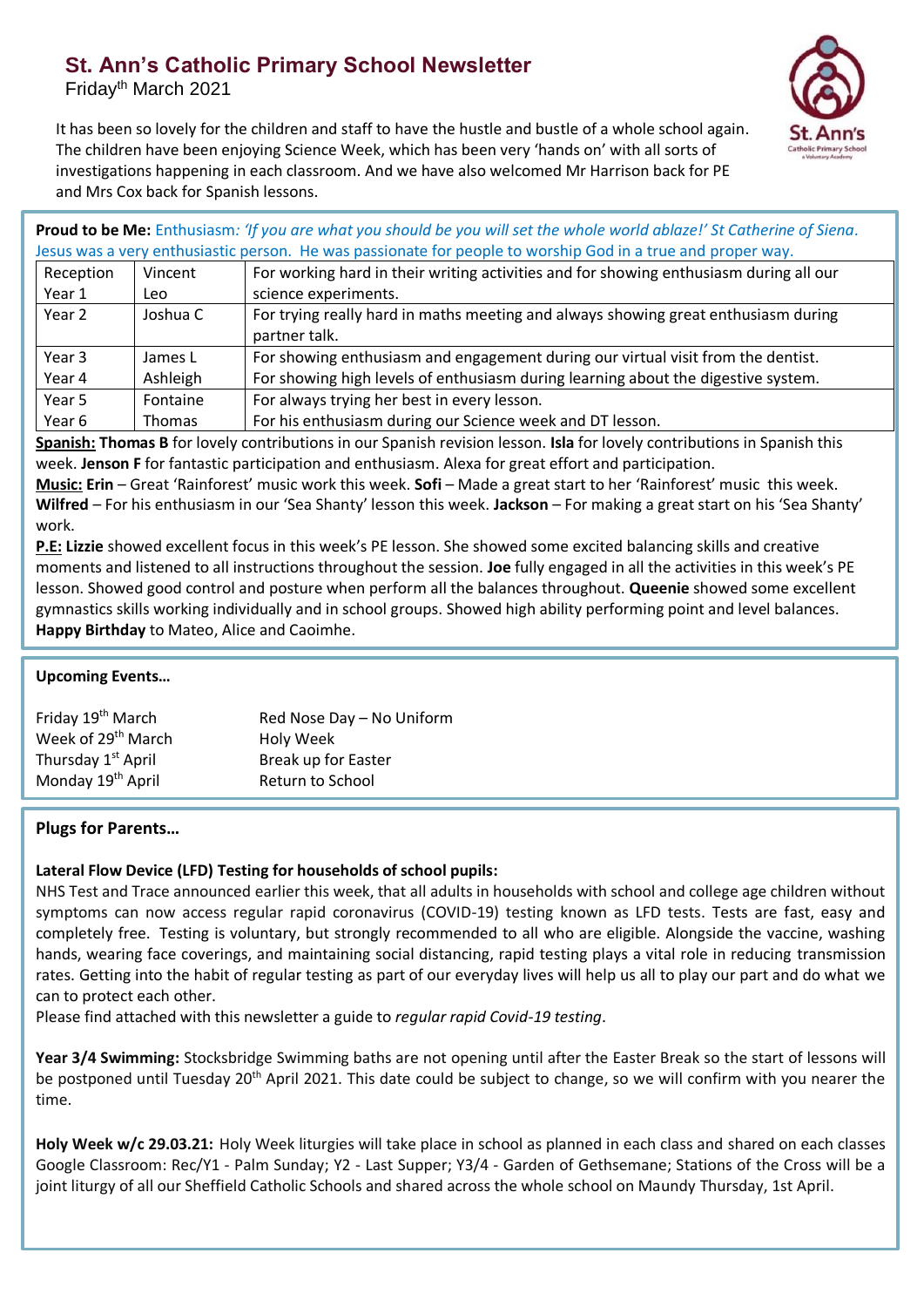## **St. Ann's Catholic Primary School Newsletter**

Fridayth March 2021



It has been so lovely for the children and staff to have the hustle and bustle of a whole school again. The children have been enjoying Science Week, which has been very 'hands on' with all sorts of investigations happening in each classroom. And we have also welcomed Mr Harrison back for PE and Mrs Cox back for Spanish lessons.

**Proud to be Me:** Enthusiasm*: 'If you are what you should be you will set the whole world ablaze!' St Catherine of Siena.*  Jesus was a very enthusiastic person. He was passionate for people to worship God in a true and proper way.

| Reception | Vincent  | For working hard in their writing activities and for showing enthusiasm during all our              |
|-----------|----------|-----------------------------------------------------------------------------------------------------|
| Year 1    | Leo      | science experiments.                                                                                |
| Year 2    | Joshua C | For trying really hard in maths meeting and always showing great enthusiasm during<br>partner talk. |
| Year 3    | James L  | For showing enthusiasm and engagement during our virtual visit from the dentist.                    |
| Year 4    | Ashleigh | For showing high levels of enthusiasm during learning about the digestive system.                   |
| Year 5    | Fontaine | For always trying her best in every lesson.                                                         |
| Year 6    | Thomas   | For his enthusiasm during our Science week and DT lesson.                                           |

**Spanish: Thomas B** for lovely contributions in our Spanish revision lesson. **Isla** for lovely contributions in Spanish this week. **Jenson F** for fantastic participation and enthusiasm. Alexa for great effort and participation.

**Music: Erin** – Great 'Rainforest' music work this week. **Sofi** – Made a great start to her 'Rainforest' music this week. **Wilfred** – For his enthusiasm in our 'Sea Shanty' lesson this week. **Jackson** – For making a great start on his 'Sea Shanty' work.

**P.E: Lizzie** showed excellent focus in this week's PE lesson. She showed some excited balancing skills and creative moments and listened to all instructions throughout the session. **Joe** fully engaged in all the activities in this week's PE lesson. Showed good control and posture when perform all the balances throughout. **Queenie** showed some excellent gymnastics skills working individually and in school groups. Showed high ability performing point and level balances. **Happy Birthday** to Mateo, Alice and Caoimhe.

## **Upcoming Events…**

| Friday 19 <sup>th</sup> March  | Red Nose Day - No Uniform |
|--------------------------------|---------------------------|
| Week of 29 <sup>th</sup> March | Holy Week                 |
| Thursday 1 <sup>st</sup> April | Break up for Easter       |
| Monday 19 <sup>th</sup> April  | Return to School          |
|                                |                           |

## **Plugs for Parents…**

## **Lateral Flow Device (LFD) Testing for households of school pupils:**

NHS Test and Trace announced earlier this week, that all adults in households with school and college age children without symptoms can now access regular rapid coronavirus (COVID-19) testing known as LFD tests. Tests are fast, easy and completely free. Testing is voluntary, but strongly recommended to all who are eligible. Alongside the vaccine, washing hands, wearing face coverings, and maintaining social distancing, rapid testing plays a vital role in reducing transmission rates. Getting into the habit of regular testing as part of our everyday lives will help us all to play our part and do what we can to protect each other.

Please find attached with this newsletter a guide to *regular rapid Covid-19 testing*.

**Year 3/4 Swimming:** Stocksbridge Swimming baths are not opening until after the Easter Break so the start of lessons will be postponed until Tuesday 20<sup>th</sup> April 2021. This date could be subject to change, so we will confirm with you nearer the time.

**Holy Week w/c 29.03.21:** Holy Week liturgies will take place in school as planned in each class and shared on each classes Google Classroom: Rec/Y1 - Palm Sunday; Y2 - Last Supper; Y3/4 - Garden of Gethsemane; Stations of the Cross will be a joint liturgy of all our Sheffield Catholic Schools and shared across the whole school on Maundy Thursday, 1st April.